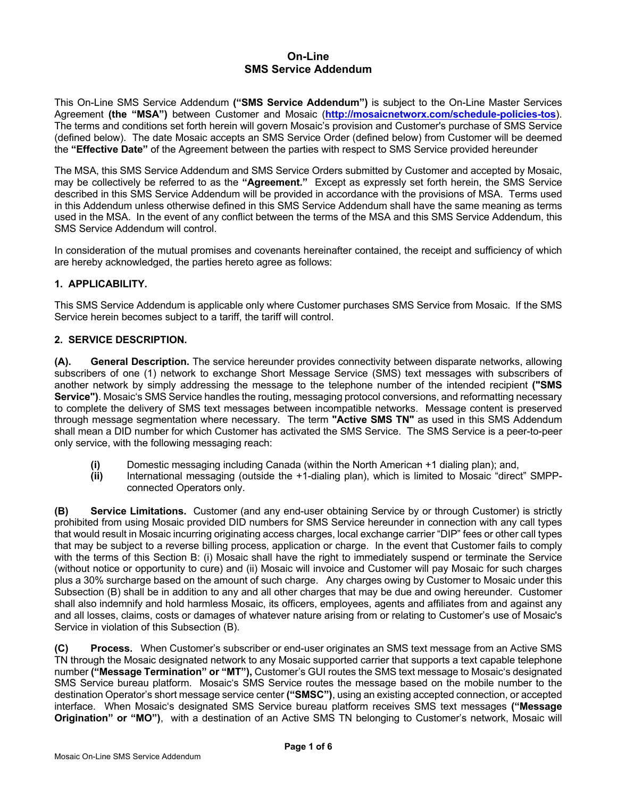# **On-Line SMS Service Addendum**

This On-Line SMS Service Addendum **("SMS Service Addendum")** is subject to the On-Line Master Services Agreement **(the "MSA")** between Customer and Mosaic (**http://mosaicnetworx.com/schedule-policies-tos**). The terms and conditions set forth herein will govern Mosaic's provision and Customer's purchase of SMS Service (defined below). The date Mosaic accepts an SMS Service Order (defined below) from Customer will be deemed the **"Effective Date"** of the Agreement between the parties with respect to SMS Service provided hereunder

The MSA, this SMS Service Addendum and SMS Service Orders submitted by Customer and accepted by Mosaic, may be collectively be referred to as the **"Agreement."** Except as expressly set forth herein, the SMS Service described in this SMS Service Addendum will be provided in accordance with the provisions of MSA. Terms used in this Addendum unless otherwise defined in this SMS Service Addendum shall have the same meaning as terms used in the MSA. In the event of any conflict between the terms of the MSA and this SMS Service Addendum, this SMS Service Addendum will control.

In consideration of the mutual promises and covenants hereinafter contained, the receipt and sufficiency of which are hereby acknowledged, the parties hereto agree as follows:

## **1. APPLICABILITY.**

This SMS Service Addendum is applicable only where Customer purchases SMS Service from Mosaic. If the SMS Service herein becomes subject to a tariff, the tariff will control.

#### **2. SERVICE DESCRIPTION.**

**(A). General Description.** The service hereunder provides connectivity between disparate networks, allowing subscribers of one (1) network to exchange Short Message Service (SMS) text messages with subscribers of another network by simply addressing the message to the telephone number of the intended recipient **("SMS Service")**. Mosaic's SMS Service handles the routing, messaging protocol conversions, and reformatting necessary to complete the delivery of SMS text messages between incompatible networks. Message content is preserved through message segmentation where necessary. The term **"Active SMS TN"** as used in this SMS Addendum shall mean a DID number for which Customer has activated the SMS Service. The SMS Service is a peer-to-peer only service, with the following messaging reach:

- **(i)** Domestic messaging including Canada (within the North American +1 dialing plan); and,
- **(ii)** International messaging (outside the +1-dialing plan), which is limited to Mosaic "direct" SMPPconnected Operators only.

**(B) Service Limitations.** Customer (and any end-user obtaining Service by or through Customer) is strictly prohibited from using Mosaic provided DID numbers for SMS Service hereunder in connection with any call types that would result in Mosaic incurring originating access charges, local exchange carrier "DIP" fees or other call types that may be subject to a reverse billing process, application or charge. In the event that Customer fails to comply with the terms of this Section B: (i) Mosaic shall have the right to immediately suspend or terminate the Service (without notice or opportunity to cure) and (ii) Mosaic will invoice and Customer will pay Mosaic for such charges plus a 30% surcharge based on the amount of such charge. Any charges owing by Customer to Mosaic under this Subsection (B) shall be in addition to any and all other charges that may be due and owing hereunder. Customer shall also indemnify and hold harmless Mosaic, its officers, employees, agents and affiliates from and against any and all losses, claims, costs or damages of whatever nature arising from or relating to Customer's use of Mosaic's Service in violation of this Subsection (B).

**(C) Process.** When Customer's subscriber or end-user originates an SMS text message from an Active SMS TN through the Mosaic designated network to any Mosaic supported carrier that supports a text capable telephone number **("Message Termination" or "MT"),** Customer's GUI routes the SMS text message to Mosaic's designated SMS Service bureau platform. Mosaic's SMS Service routes the message based on the mobile number to the destination Operator's short message service center **("SMSC")**, using an existing accepted connection, or accepted interface. When Mosaic's designated SMS Service bureau platform receives SMS text messages **("Message Origination" or "MO")**, with a destination of an Active SMS TN belonging to Customer's network, Mosaic will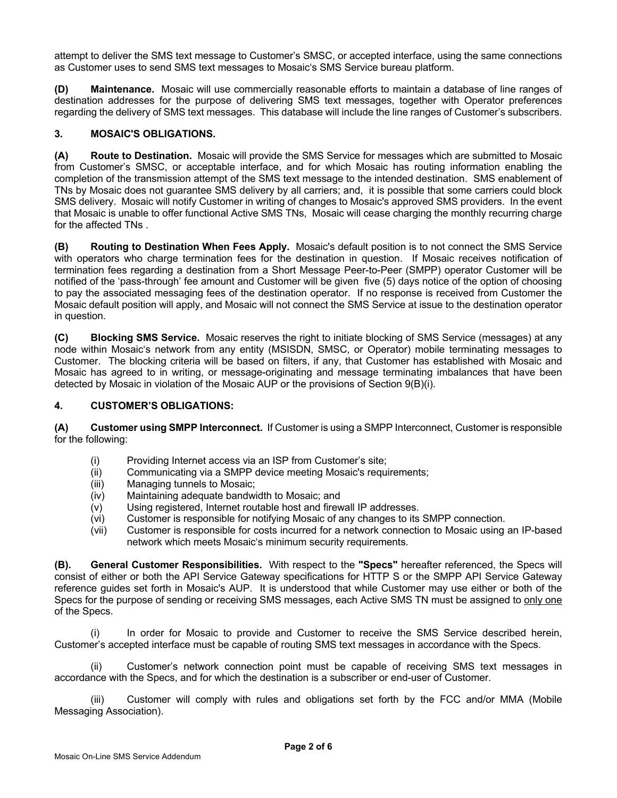attempt to deliver the SMS text message to Customer's SMSC, or accepted interface, using the same connections as Customer uses to send SMS text messages to Mosaic's SMS Service bureau platform.

**(D) Maintenance.** Mosaic will use commercially reasonable efforts to maintain a database of line ranges of destination addresses for the purpose of delivering SMS text messages, together with Operator preferences regarding the delivery of SMS text messages. This database will include the line ranges of Customer's subscribers.

## **3. MOSAIC'S OBLIGATIONS.**

**(A) Route to Destination.** Mosaic will provide the SMS Service for messages which are submitted to Mosaic from Customer's SMSC, or acceptable interface, and for which Mosaic has routing information enabling the completion of the transmission attempt of the SMS text message to the intended destination. SMS enablement of TNs by Mosaic does not guarantee SMS delivery by all carriers; and, it is possible that some carriers could block SMS delivery. Mosaic will notify Customer in writing of changes to Mosaic's approved SMS providers. In the event that Mosaic is unable to offer functional Active SMS TNs, Mosaic will cease charging the monthly recurring charge for the affected TNs .

**(B) Routing to Destination When Fees Apply.** Mosaic's default position is to not connect the SMS Service with operators who charge termination fees for the destination in question. If Mosaic receives notification of termination fees regarding a destination from a Short Message Peer-to-Peer (SMPP) operator Customer will be notified of the 'pass-through' fee amount and Customer will be given five (5) days notice of the option of choosing to pay the associated messaging fees of the destination operator. If no response is received from Customer the Mosaic default position will apply, and Mosaic will not connect the SMS Service at issue to the destination operator in question.

**(C) Blocking SMS Service.** Mosaic reserves the right to initiate blocking of SMS Service (messages) at any node within Mosaic's network from any entity (MSISDN, SMSC, or Operator) mobile terminating messages to Customer. The blocking criteria will be based on filters, if any, that Customer has established with Mosaic and Mosaic has agreed to in writing, or message-originating and message terminating imbalances that have been detected by Mosaic in violation of the Mosaic AUP or the provisions of Section 9(B)(i).

## **4. CUSTOMER'S OBLIGATIONS:**

**(A) Customer using SMPP Interconnect.** If Customer is using a SMPP Interconnect, Customer is responsible for the following:

- (i) Providing Internet access via an ISP from Customer's site;
- (ii) Communicating via a SMPP device meeting Mosaic's requirements;
- (iii) Managing tunnels to Mosaic;
- (iv) Maintaining adequate bandwidth to Mosaic; and
- (v) Using registered, Internet routable host and firewall IP addresses.
- (vi) Customer is responsible for notifying Mosaic of any changes to its SMPP connection.
- (vii) Customer is responsible for costs incurred for a network connection to Mosaic using an IP-based network which meets Mosaic's minimum security requirements.

**(B). General Customer Responsibilities.** With respect to the **"Specs"** hereafter referenced, the Specs will consist of either or both the API Service Gateway specifications for HTTP S or the SMPP API Service Gateway reference guides set forth in Mosaic's AUP. It is understood that while Customer may use either or both of the Specs for the purpose of sending or receiving SMS messages, each Active SMS TN must be assigned to only one of the Specs.

In order for Mosaic to provide and Customer to receive the SMS Service described herein, Customer's accepted interface must be capable of routing SMS text messages in accordance with the Specs.

(ii) Customer's network connection point must be capable of receiving SMS text messages in accordance with the Specs, and for which the destination is a subscriber or end-user of Customer.

(iii) Customer will comply with rules and obligations set forth by the FCC and/or MMA (Mobile Messaging Association).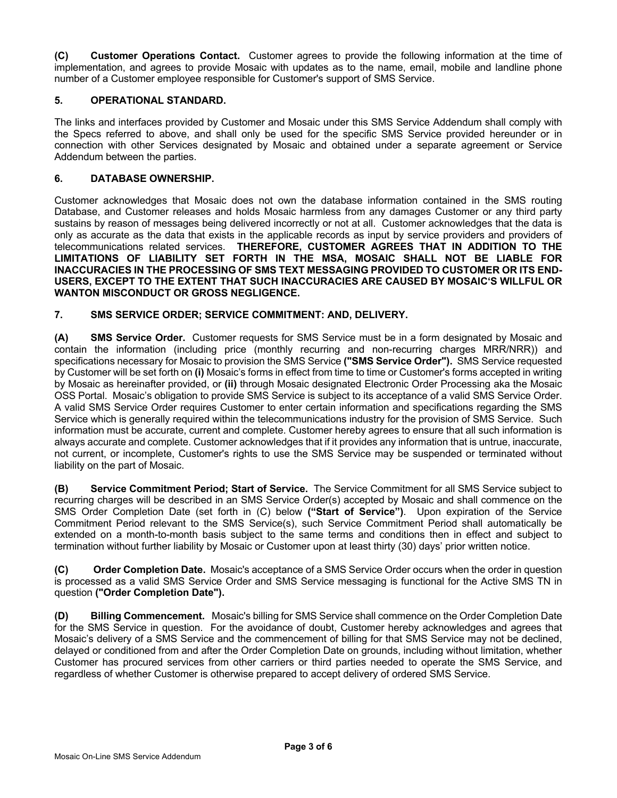**(C) Customer Operations Contact.** Customer agrees to provide the following information at the time of implementation, and agrees to provide Mosaic with updates as to the name, email, mobile and landline phone number of a Customer employee responsible for Customer's support of SMS Service.

## **5. OPERATIONAL STANDARD.**

The links and interfaces provided by Customer and Mosaic under this SMS Service Addendum shall comply with the Specs referred to above, and shall only be used for the specific SMS Service provided hereunder or in connection with other Services designated by Mosaic and obtained under a separate agreement or Service Addendum between the parties.

#### **6. DATABASE OWNERSHIP.**

Customer acknowledges that Mosaic does not own the database information contained in the SMS routing Database, and Customer releases and holds Mosaic harmless from any damages Customer or any third party sustains by reason of messages being delivered incorrectly or not at all. Customer acknowledges that the data is only as accurate as the data that exists in the applicable records as input by service providers and providers of telecommunications related services. **THEREFORE, CUSTOMER AGREES THAT IN ADDITION TO THE LIMITATIONS OF LIABILITY SET FORTH IN THE MSA, MOSAIC SHALL NOT BE LIABLE FOR INACCURACIES IN THE PROCESSING OF SMS TEXT MESSAGING PROVIDED TO CUSTOMER OR ITS END-USERS, EXCEPT TO THE EXTENT THAT SUCH INACCURACIES ARE CAUSED BY MOSAIC'S WILLFUL OR WANTON MISCONDUCT OR GROSS NEGLIGENCE.**

#### **7. SMS SERVICE ORDER; SERVICE COMMITMENT: AND, DELIVERY.**

**(A) SMS Service Order.** Customer requests for SMS Service must be in a form designated by Mosaic and contain the information (including price (monthly recurring and non-recurring charges MRR/NRR)) and specifications necessary for Mosaic to provision the SMS Service **("SMS Service Order").** SMS Service requested by Customer will be set forth on **(i)** Mosaic's forms in effect from time to time or Customer's forms accepted in writing by Mosaic as hereinafter provided, or **(ii)** through Mosaic designated Electronic Order Processing aka the Mosaic OSS Portal. Mosaic's obligation to provide SMS Service is subject to its acceptance of a valid SMS Service Order. A valid SMS Service Order requires Customer to enter certain information and specifications regarding the SMS Service which is generally required within the telecommunications industry for the provision of SMS Service. Such information must be accurate, current and complete. Customer hereby agrees to ensure that all such information is always accurate and complete. Customer acknowledges that if it provides any information that is untrue, inaccurate, not current, or incomplete, Customer's rights to use the SMS Service may be suspended or terminated without liability on the part of Mosaic.

**(B) Service Commitment Period; Start of Service.** The Service Commitment for all SMS Service subject to recurring charges will be described in an SMS Service Order(s) accepted by Mosaic and shall commence on the SMS Order Completion Date (set forth in (C) below **("Start of Service")**. Upon expiration of the Service Commitment Period relevant to the SMS Service(s), such Service Commitment Period shall automatically be extended on a month-to-month basis subject to the same terms and conditions then in effect and subject to termination without further liability by Mosaic or Customer upon at least thirty (30) days' prior written notice.

**(C) Order Completion Date.** Mosaic's acceptance of a SMS Service Order occurs when the order in question is processed as a valid SMS Service Order and SMS Service messaging is functional for the Active SMS TN in question **("Order Completion Date").**

**(D) Billing Commencement.** Mosaic's billing for SMS Service shall commence on the Order Completion Date for the SMS Service in question. For the avoidance of doubt, Customer hereby acknowledges and agrees that Mosaic's delivery of a SMS Service and the commencement of billing for that SMS Service may not be declined, delayed or conditioned from and after the Order Completion Date on grounds, including without limitation, whether Customer has procured services from other carriers or third parties needed to operate the SMS Service, and regardless of whether Customer is otherwise prepared to accept delivery of ordered SMS Service.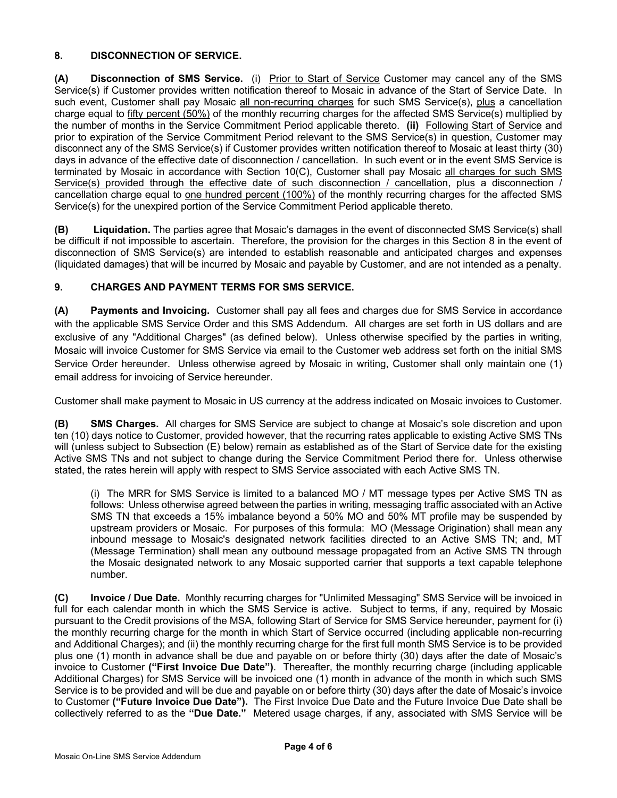# **8. DISCONNECTION OF SERVICE.**

**(A) Disconnection of SMS Service.** (i) Prior to Start of Service Customer may cancel any of the SMS Service(s) if Customer provides written notification thereof to Mosaic in advance of the Start of Service Date. In such event, Customer shall pay Mosaic all non-recurring charges for such SMS Service(s), plus a cancellation charge equal to fifty percent (50%) of the monthly recurring charges for the affected SMS Service(s) multiplied by the number of months in the Service Commitment Period applicable thereto. **(ii)** Following Start of Service and prior to expiration of the Service Commitment Period relevant to the SMS Service(s) in question, Customer may disconnect any of the SMS Service(s) if Customer provides written notification thereof to Mosaic at least thirty (30) days in advance of the effective date of disconnection / cancellation. In such event or in the event SMS Service is terminated by Mosaic in accordance with Section 10(C), Customer shall pay Mosaic all charges for such SMS Service(s) provided through the effective date of such disconnection / cancellation, plus a disconnection / cancellation charge equal to <u>one hundred percent (100%)</u> of the monthly recurring charges for the affected SMS Service(s) for the unexpired portion of the Service Commitment Period applicable thereto.

**(B) Liquidation.** The parties agree that Mosaic's damages in the event of disconnected SMS Service(s) shall be difficult if not impossible to ascertain. Therefore, the provision for the charges in this Section 8 in the event of disconnection of SMS Service(s) are intended to establish reasonable and anticipated charges and expenses (liquidated damages) that will be incurred by Mosaic and payable by Customer, and are not intended as a penalty.

## **9. CHARGES AND PAYMENT TERMS FOR SMS SERVICE.**

**(A) Payments and Invoicing.** Customer shall pay all fees and charges due for SMS Service in accordance with the applicable SMS Service Order and this SMS Addendum. All charges are set forth in US dollars and are exclusive of any "Additional Charges" (as defined below). Unless otherwise specified by the parties in writing, Mosaic will invoice Customer for SMS Service via email to the Customer web address set forth on the initial SMS Service Order hereunder. Unless otherwise agreed by Mosaic in writing, Customer shall only maintain one (1) email address for invoicing of Service hereunder.

Customer shall make payment to Mosaic in US currency at the address indicated on Mosaic invoices to Customer.

**(B) SMS Charges.** All charges for SMS Service are subject to change at Mosaic's sole discretion and upon ten (10) days notice to Customer, provided however, that the recurring rates applicable to existing Active SMS TNs will (unless subject to Subsection (E) below) remain as established as of the Start of Service date for the existing Active SMS TNs and not subject to change during the Service Commitment Period there for. Unless otherwise stated, the rates herein will apply with respect to SMS Service associated with each Active SMS TN.

(i) The MRR for SMS Service is limited to a balanced MO / MT message types per Active SMS TN as follows: Unless otherwise agreed between the parties in writing, messaging traffic associated with an Active SMS TN that exceeds a 15% imbalance beyond a 50% MO and 50% MT profile may be suspended by upstream providers or Mosaic. For purposes of this formula: MO (Message Origination) shall mean any inbound message to Mosaic's designated network facilities directed to an Active SMS TN; and, MT (Message Termination) shall mean any outbound message propagated from an Active SMS TN through the Mosaic designated network to any Mosaic supported carrier that supports a text capable telephone number.

**(C) Invoice / Due Date.** Monthly recurring charges for "Unlimited Messaging" SMS Service will be invoiced in full for each calendar month in which the SMS Service is active. Subject to terms, if any, required by Mosaic pursuant to the Credit provisions of the MSA, following Start of Service for SMS Service hereunder, payment for (i) the monthly recurring charge for the month in which Start of Service occurred (including applicable non-recurring and Additional Charges); and (ii) the monthly recurring charge for the first full month SMS Service is to be provided plus one (1) month in advance shall be due and payable on or before thirty (30) days after the date of Mosaic's invoice to Customer **("First Invoice Due Date")**. Thereafter, the monthly recurring charge (including applicable Additional Charges) for SMS Service will be invoiced one (1) month in advance of the month in which such SMS Service is to be provided and will be due and payable on or before thirty (30) days after the date of Mosaic's invoice to Customer **("Future Invoice Due Date").** The First Invoice Due Date and the Future Invoice Due Date shall be collectively referred to as the **"Due Date."** Metered usage charges, if any, associated with SMS Service will be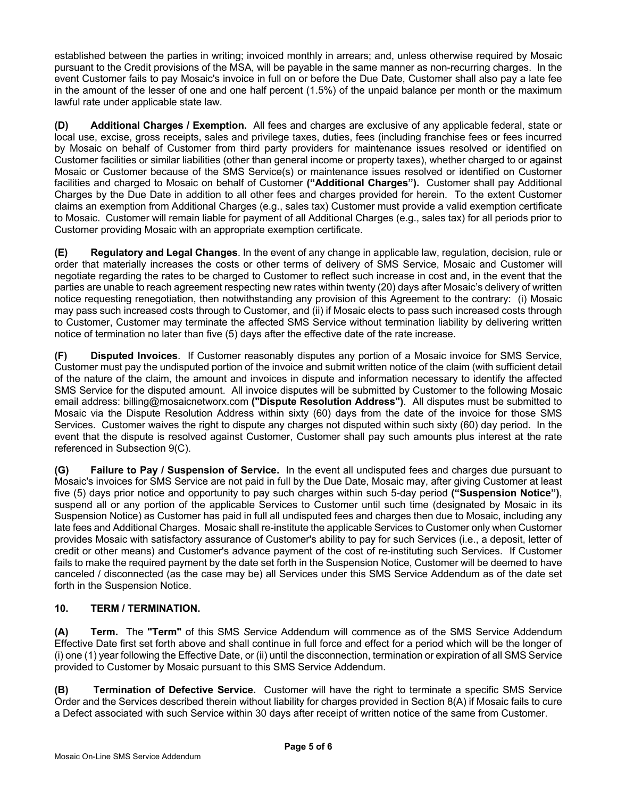established between the parties in writing; invoiced monthly in arrears; and, unless otherwise required by Mosaic pursuant to the Credit provisions of the MSA, will be payable in the same manner as non-recurring charges. In the event Customer fails to pay Mosaic's invoice in full on or before the Due Date, Customer shall also pay a late fee in the amount of the lesser of one and one half percent (1.5%) of the unpaid balance per month or the maximum lawful rate under applicable state law.

**(D) Additional Charges / Exemption.** All fees and charges are exclusive of any applicable federal, state or local use, excise, gross receipts, sales and privilege taxes, duties, fees (including franchise fees or fees incurred by Mosaic on behalf of Customer from third party providers for maintenance issues resolved or identified on Customer facilities or similar liabilities (other than general income or property taxes), whether charged to or against Mosaic or Customer because of the SMS Service(s) or maintenance issues resolved or identified on Customer facilities and charged to Mosaic on behalf of Customer **("Additional Charges").** Customer shall pay Additional Charges by the Due Date in addition to all other fees and charges provided for herein. To the extent Customer claims an exemption from Additional Charges (e.g., sales tax) Customer must provide a valid exemption certificate to Mosaic. Customer will remain liable for payment of all Additional Charges (e.g., sales tax) for all periods prior to Customer providing Mosaic with an appropriate exemption certificate.

**(E) Regulatory and Legal Changes**. In the event of any change in applicable law, regulation, decision, rule or order that materially increases the costs or other terms of delivery of SMS Service, Mosaic and Customer will negotiate regarding the rates to be charged to Customer to reflect such increase in cost and, in the event that the parties are unable to reach agreement respecting new rates within twenty (20) days after Mosaic's delivery of written notice requesting renegotiation, then notwithstanding any provision of this Agreement to the contrary: (i) Mosaic may pass such increased costs through to Customer, and (ii) if Mosaic elects to pass such increased costs through to Customer, Customer may terminate the affected SMS Service without termination liability by delivering written notice of termination no later than five (5) days after the effective date of the rate increase.

**(F) Disputed Invoices**. If Customer reasonably disputes any portion of a Mosaic invoice for SMS Service, Customer must pay the undisputed portion of the invoice and submit written notice of the claim (with sufficient detail of the nature of the claim, the amount and invoices in dispute and information necessary to identify the affected SMS Service for the disputed amount. All invoice disputes will be submitted by Customer to the following Mosaic email address: billing@mosaicnetworx.com **("Dispute Resolution Address")**. All disputes must be submitted to Mosaic via the Dispute Resolution Address within sixty (60) days from the date of the invoice for those SMS Services. Customer waives the right to dispute any charges not disputed within such sixty (60) day period. In the event that the dispute is resolved against Customer, Customer shall pay such amounts plus interest at the rate referenced in Subsection 9(C).

**(G) Failure to Pay / Suspension of Service.** In the event all undisputed fees and charges due pursuant to Mosaic's invoices for SMS Service are not paid in full by the Due Date, Mosaic may, after giving Customer at least five (5) days prior notice and opportunity to pay such charges within such 5-day period **("Suspension Notice")**, suspend all or any portion of the applicable Services to Customer until such time (designated by Mosaic in its Suspension Notice) as Customer has paid in full all undisputed fees and charges then due to Mosaic, including any late fees and Additional Charges. Mosaic shall re-institute the applicable Services to Customer only when Customer provides Mosaic with satisfactory assurance of Customer's ability to pay for such Services (i.e., a deposit, letter of credit or other means) and Customer's advance payment of the cost of re-instituting such Services. If Customer fails to make the required payment by the date set forth in the Suspension Notice, Customer will be deemed to have canceled / disconnected (as the case may be) all Services under this SMS Service Addendum as of the date set forth in the Suspension Notice.

# **10. TERM / TERMINATION.**

**(A) Term.** The **"Term"** of this SMS *S*ervice Addendum will commence as of the SMS Service Addendum Effective Date first set forth above and shall continue in full force and effect for a period which will be the longer of (i) one (1) year following the Effective Date, or (ii) until the disconnection, termination or expiration of all SMS Service provided to Customer by Mosaic pursuant to this SMS Service Addendum.

**(B) Termination of Defective Service.** Customer will have the right to terminate a specific SMS Service Order and the Services described therein without liability for charges provided in Section 8(A) if Mosaic fails to cure a Defect associated with such Service within 30 days after receipt of written notice of the same from Customer.